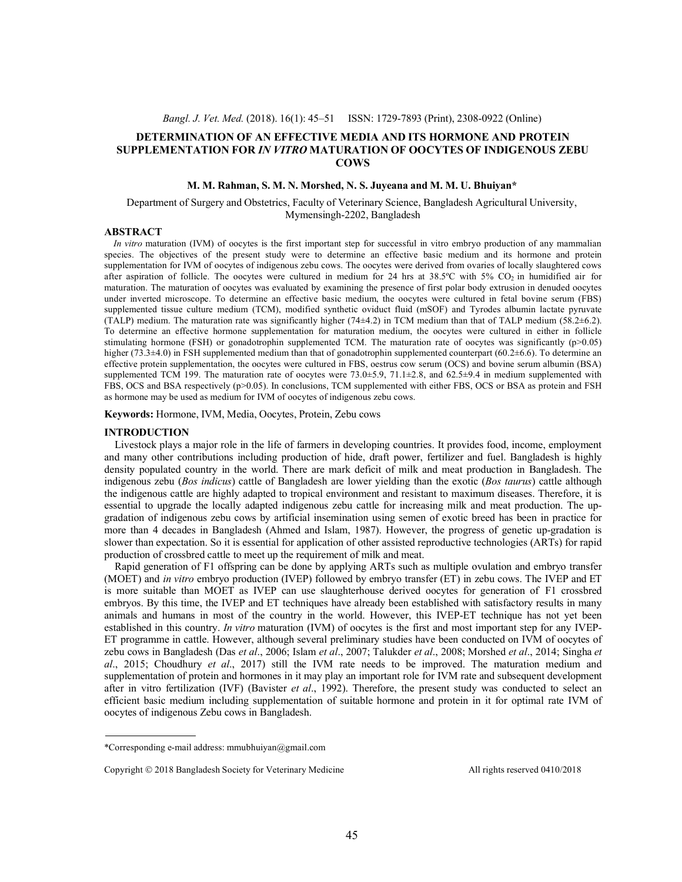# **DETERMINATION OF AN EFFECTIVE MEDIA AND ITS HORMONE AND PROTEIN SUPPLEMENTATION FOR** *IN VITRO* **MATURATION OF OOCYTES OF INDIGENOUS ZEBU COWS**

# **M. M. Rahman, S. M. N. Morshed, N. S. Juyeana and M. M. U. Bhuiyan\***

### Department of Surgery and Obstetrics, Faculty of Veterinary Science, Bangladesh Agricultural University, Mymensingh-2202, Bangladesh

### **ABSTRACT**

*In vitro* maturation (IVM) of oocytes is the first important step for successful in vitro embryo production of any mammalian species. The objectives of the present study were to determine an effective basic medium and its hormone and protein supplementation for IVM of oocytes of indigenous zebu cows. The oocytes were derived from ovaries of locally slaughtered cows after aspiration of follicle. The oocytes were cultured in medium for 24 hrs at  $38.5^{\circ}$ C with  $5\%$  CO<sub>2</sub> in humidified air for maturation. The maturation of oocytes was evaluated by examining the presence of first polar body extrusion in denuded oocytes under inverted microscope. To determine an effective basic medium, the oocytes were cultured in fetal bovine serum (FBS) supplemented tissue culture medium (TCM), modified synthetic oviduct fluid (mSOF) and Tyrodes albumin lactate pyruvate (TALP) medium. The maturation rate was significantly higher (74±4.2) in TCM medium than that of TALP medium (58.2±6.2). To determine an effective hormone supplementation for maturation medium, the oocytes were cultured in either in follicle stimulating hormone (FSH) or gonadotrophin supplemented TCM. The maturation rate of oocytes was significantly (p>0.05) higher (73.3±4.0) in FSH supplemented medium than that of gonadotrophin supplemented counterpart (60.2±6.6). To determine an effective protein supplementation, the oocytes were cultured in FBS, oestrus cow serum (OCS) and bovine serum albumin (BSA) supplemented TCM 199. The maturation rate of oocytes were 73.0 $\pm$ 5.9, 71.1 $\pm$ 2.8, and 62.5 $\pm$ 9.4 in medium supplemented with FBS, OCS and BSA respectively (p>0.05). In conclusions, TCM supplemented with either FBS, OCS or BSA as protein and FSH as hormone may be used as medium for IVM of oocytes of indigenous zebu cows.

**Keywords:** Hormone, IVM, Media, Oocytes, Protein, Zebu cows

### **INTRODUCTION**

Livestock plays a major role in the life of farmers in developing countries. It provides food, income, employment and many other contributions including production of hide, draft power, fertilizer and fuel. Bangladesh is highly density populated country in the world. There are mark deficit of milk and meat production in Bangladesh. The indigenous zebu (*Bos indicus*) cattle of Bangladesh are lower yielding than the exotic (*Bos taurus*) cattle although the indigenous cattle are highly adapted to tropical environment and resistant to maximum diseases. Therefore, it is essential to upgrade the locally adapted indigenous zebu cattle for increasing milk and meat production. The upgradation of indigenous zebu cows by artificial insemination using semen of exotic breed has been in practice for more than 4 decades in Bangladesh (Ahmed and Islam, 1987). However, the progress of genetic up-gradation is slower than expectation. So it is essential for application of other assisted reproductive technologies (ARTs) for rapid production of crossbred cattle to meet up the requirement of milk and meat.

Rapid generation of F1 offspring can be done by applying ARTs such as multiple ovulation and embryo transfer (MOET) and *in vitro* embryo production (IVEP) followed by embryo transfer (ET) in zebu cows. The IVEP and ET is more suitable than MOET as IVEP can use slaughterhouse derived oocytes for generation of F1 crossbred embryos. By this time, the IVEP and ET techniques have already been established with satisfactory results in many animals and humans in most of the country in the world. However, this IVEP-ET technique has not yet been established in this country. *In vitro* maturation (IVM) of oocytes is the first and most important step for any IVEP-ET programme in cattle. However, although several preliminary studies have been conducted on IVM of oocytes of zebu cows in Bangladesh (Das *et al*., 2006; Islam *et al*., 2007; Talukder *et al*., 2008; Morshed *et al*., 2014; Singha *et al*., 2015; Choudhury *et al*., 2017) still the IVM rate needs to be improved. The maturation medium and supplementation of protein and hormones in it may play an important role for IVM rate and subsequent development after in vitro fertilization (IVF) (Bavister *et al*., 1992). Therefore, the present study was conducted to select an efficient basic medium including supplementation of suitable hormone and protein in it for optimal rate IVM of oocytes of indigenous Zebu cows in Bangladesh.

<sup>\*</sup>Corresponding e-mail address: mmubhuiyan@gmail.com

Copyright © 2018 Bangladesh Society for Veterinary Medicine All rights reserved 0410/2018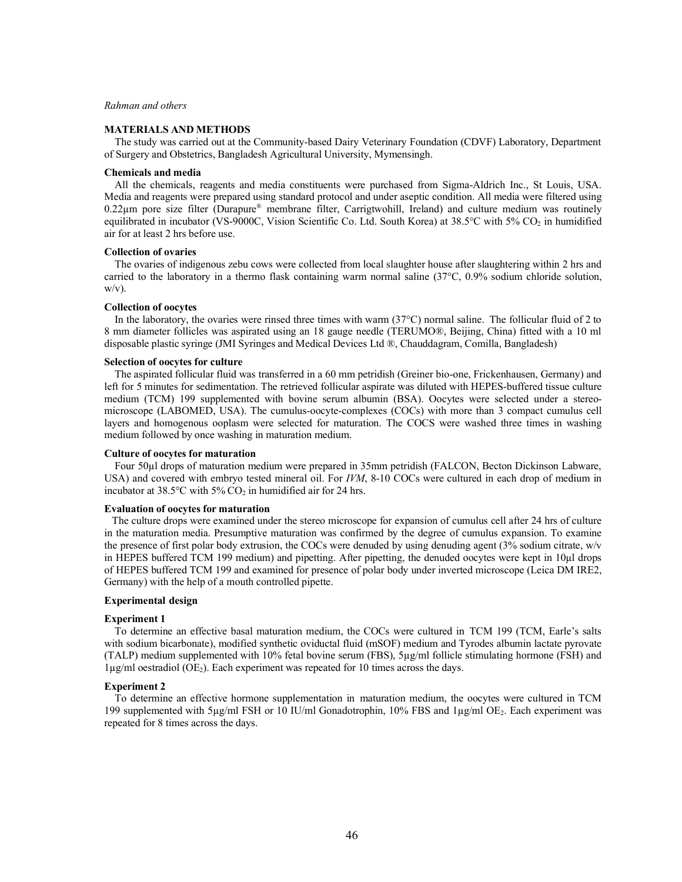### *Rahman and others*

# **MATERIALS AND METHODS**

The study was carried out at the Community-based Dairy Veterinary Foundation (CDVF) Laboratory, Department of Surgery and Obstetrics, Bangladesh Agricultural University, Mymensingh.

# **Chemicals and media**

All the chemicals, reagents and media constituents were purchased from Sigma-Aldrich Inc., St Louis, USA. Media and reagents were prepared using standard protocol and under aseptic condition. All media were filtered using 0.22µm pore size filter (Durapure® membrane filter, Carrigtwohill, Ireland) and culture medium was routinely equilibrated in incubator (VS-9000C, Vision Scientific Co. Ltd. South Korea) at 38.5°C with 5% CO<sub>2</sub> in humidified air for at least 2 hrs before use.

#### **Collection of ovaries**

The ovaries of indigenous zebu cows were collected from local slaughter house after slaughtering within 2 hrs and carried to the laboratory in a thermo flask containing warm normal saline (37°C, 0.9% sodium chloride solution,  $w/v$ ).

## **Collection of oocytes**

In the laboratory, the ovaries were rinsed three times with warm (37°C) normal saline. The follicular fluid of 2 to 8 mm diameter follicles was aspirated using an 18 gauge needle (TERUMO®, Beijing, China) fitted with a 10 ml disposable plastic syringe (JMI Syringes and Medical Devices Ltd ®, Chauddagram, Comilla, Bangladesh)

# **Selection of oocytes for culture**

The aspirated follicular fluid was transferred in a 60 mm petridish (Greiner bio-one, Frickenhausen, Germany) and left for 5 minutes for sedimentation. The retrieved follicular aspirate was diluted with HEPES-buffered tissue culture medium (TCM) 199 supplemented with bovine serum albumin (BSA). Oocytes were selected under a stereomicroscope (LABOMED, USA). The cumulus-oocyte-complexes (COCs) with more than 3 compact cumulus cell layers and homogenous ooplasm were selected for maturation. The COCS were washed three times in washing medium followed by once washing in maturation medium.

## **Culture of oocytes for maturation**

Four 50µl drops of maturation medium were prepared in 35mm petridish (FALCON, Becton Dickinson Labware, USA) and covered with embryo tested mineral oil. For *IVM*, 8-10 COCs were cultured in each drop of medium in incubator at  $38.5^{\circ}$ C with  $5\%$  CO<sub>2</sub> in humidified air for 24 hrs.

## **Evaluation of oocytes for maturation**

The culture drops were examined under the stereo microscope for expansion of cumulus cell after 24 hrs of culture in the maturation media. Presumptive maturation was confirmed by the degree of cumulus expansion. To examine the presence of first polar body extrusion, the COCs were denuded by using denuding agent (3% sodium citrate, w/v in HEPES buffered TCM 199 medium) and pipetting. After pipetting, the denuded oocytes were kept in 10µl drops of HEPES buffered TCM 199 and examined for presence of polar body under inverted microscope (Leica DM IRE2, Germany) with the help of a mouth controlled pipette.

### **Experimental design**

### **Experiment 1**

To determine an effective basal maturation medium, the COCs were cultured in TCM 199 (TCM, Earle's salts with sodium bicarbonate), modified synthetic oviductal fluid (mSOF) medium and Tyrodes albumin lactate pyrovate (TALP) medium supplemented with 10% fetal bovine serum (FBS), 5µg/ml follicle stimulating hormone (FSH) and  $1\mu$ g/ml oestradiol (OE<sub>2</sub>). Each experiment was repeated for 10 times across the days.

#### **Experiment 2**

To determine an effective hormone supplementation in maturation medium, the oocytes were cultured in TCM 199 supplemented with 5µg/ml FSH or 10 IU/ml Gonadotrophin, 10% FBS and 1µg/ml OE2. Each experiment was repeated for 8 times across the days.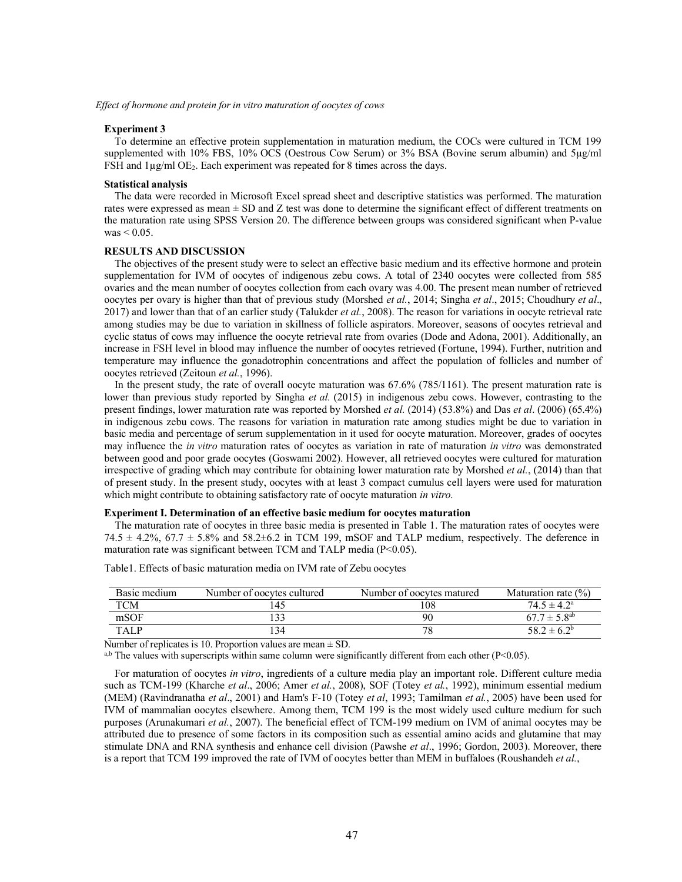*Effect of hormone and protein for in vitro maturation of oocytes of cows*

#### **Experiment 3**

To determine an effective protein supplementation in maturation medium, the COCs were cultured in TCM 199 supplemented with 10% FBS, 10% OCS (Oestrous Cow Serum) or 3% BSA (Bovine serum albumin) and 5µg/ml FSH and 1µg/ml OE<sub>2</sub>. Each experiment was repeated for 8 times across the days.

#### **Statistical analysis**

The data were recorded in Microsoft Excel spread sheet and descriptive statistics was performed. The maturation rates were expressed as mean  $\pm$  SD and Z test was done to determine the significant effect of different treatments on the maturation rate using SPSS Version 20. The difference between groups was considered significant when P-value  $was < 0.05$ .

# **RESULTS AND DISCUSSION**

The objectives of the present study were to select an effective basic medium and its effective hormone and protein supplementation for IVM of oocytes of indigenous zebu cows. A total of 2340 oocytes were collected from 585 ovaries and the mean number of oocytes collection from each ovary was 4.00. The present mean number of retrieved oocytes per ovary is higher than that of previous study (Morshed *et al.*, 2014; Singha *et al*., 2015; Choudhury *et al*., 2017) and lower than that of an earlier study (Talukder *et al.*, 2008). The reason for variations in oocyte retrieval rate among studies may be due to variation in skillness of follicle aspirators. Moreover, seasons of oocytes retrieval and cyclic status of cows may influence the oocyte retrieval rate from ovaries (Dode and Adona, 2001). Additionally, an increase in FSH level in blood may influence the number of oocytes retrieved (Fortune, 1994). Further, nutrition and temperature may influence the gonadotrophin concentrations and affect the population of follicles and number of oocytes retrieved (Zeitoun *et al.*, 1996).

In the present study, the rate of overall oocyte maturation was  $67.6\%$  (785/1161). The present maturation rate is lower than previous study reported by Singha *et al.* (2015) in indigenous zebu cows. However, contrasting to the present findings, lower maturation rate was reported by Morshed *et al.* (2014) (53.8%) and Das *et al*. (2006) (65.4%) in indigenous zebu cows. The reasons for variation in maturation rate among studies might be due to variation in basic media and percentage of serum supplementation in it used for oocyte maturation. Moreover, grades of oocytes may influence the *in vitro* maturation rates of oocytes as variation in rate of maturation *in vitro* was demonstrated between good and poor grade oocytes (Goswami 2002). However, all retrieved oocytes were cultured for maturation irrespective of grading which may contribute for obtaining lower maturation rate by Morshed *et al.*, (2014) than that of present study. In the present study, oocytes with at least 3 compact cumulus cell layers were used for maturation which might contribute to obtaining satisfactory rate of oocyte maturation *in vitro.*

# **Experiment I. Determination of an effective basic medium for oocytes maturation**

The maturation rate of oocytes in three basic media is presented in Table 1. The maturation rates of oocytes were  $74.5 \pm 4.2\%$ ,  $67.7 \pm 5.8\%$  and  $58.2 \pm 6.2$  in TCM 199, mSOF and TALP medium, respectively. The deference in maturation rate was significant between TCM and TALP media (P<0.05).

| Basic medium | Number of oocytes cultured | Number of oocytes matured | Maturation rate $(\% )$ |
|--------------|----------------------------|---------------------------|-------------------------|
| TCM          |                            | 108                       | $74.5 \pm 4.2^{\circ}$  |
| mSOF         |                            | 90                        | $67.7 \pm 5.8^{ab}$     |
| TALP         | 34                         | 78                        | $58.2 \pm 6.2^{\circ}$  |

Table1. Effects of basic maturation media on IVM rate of Zebu oocytes

Number of replicates is 10. Proportion values are mean  $\pm$  SD.

a,b The values with superscripts within same column were significantly different from each other ( $P<0.05$ ).

For maturation of oocytes *in vitro*, ingredients of a culture media play an important role. Different culture media such as TCM-199 (Kharche *et al*., 2006; Amer *et al.*, 2008), SOF (Totey *et al.*, 1992), minimum essential medium (MEM) (Ravindranatha *et al*., 2001) and Ham's F-10 (Totey *et al*, 1993; Tamilman *et al.*, 2005) have been used for IVM of mammalian oocytes elsewhere. Among them, TCM 199 is the most widely used culture medium for such purposes (Arunakumari *et al.*, 2007). The beneficial effect of TCM-199 medium on IVM of animal oocytes may be attributed due to presence of some factors in its composition such as essential amino acids and glutamine that may stimulate DNA and RNA synthesis and enhance cell division (Pawshe *et al*., 1996; Gordon, 2003). Moreover, there is a report that TCM 199 improved the rate of IVM of oocytes better than MEM in buffaloes (Roushandeh *et al.*,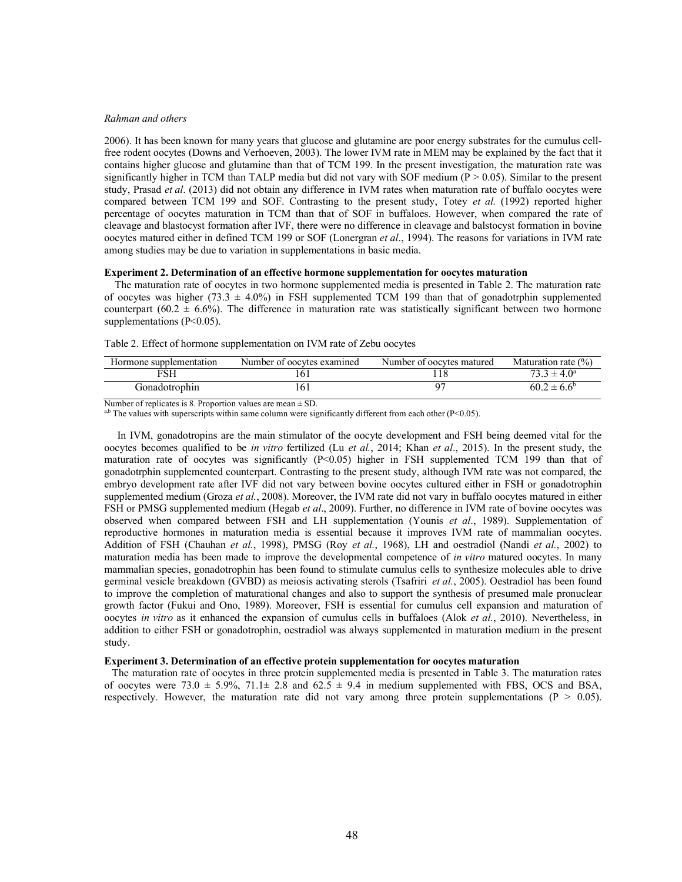#### *Rahman and others*

2006). It has been known for many years that glucose and glutamine are poor energy substrates for the cumulus cellfree rodent oocytes (Downs and Verhoeven, 2003). The lower IVM rate in MEM may be explained by the fact that it contains higher glucose and glutamine than that of TCM 199. In the present investigation, the maturation rate was significantly higher in TCM than TALP media but did not vary with SOF medium ( $P > 0.05$ ). Similar to the present study, Prasad *et al*. (2013) did not obtain any difference in IVM rates when maturation rate of buffalo oocytes were compared between TCM 199 and SOF. Contrasting to the present study, Totey *et al.* (1992) reported higher percentage of oocytes maturation in TCM than that of SOF in buffaloes. However, when compared the rate of cleavage and blastocyst formation after IVF, there were no difference in cleavage and balstocyst formation in bovine oocytes matured either in defined TCM 199 or SOF (Lonergran *et al*., 1994). The reasons for variations in IVM rate among studies may be due to variation in supplementations in basic media.

#### **Experiment 2. Determination of an effective hormone supplementation for oocytes maturation**

The maturation rate of oocytes in two hormone supplemented media is presented in Table 2. The maturation rate of oocytes was higher (73.3  $\pm$  4.0%) in FSH supplemented TCM 199 than that of gonadotrphin supplemented counterpart (60.2  $\pm$  6.6%). The difference in maturation rate was statistically significant between two hormone supplementations (P<0.05).

Gonadotrophin 161 97 60.2  $\pm 6.6^{\circ}$ 

turation rate  $(\% )$ 

| Hormone supplementation | Number of oocytes examined | Number of oocytes matured | Maturation rate        |
|-------------------------|----------------------------|---------------------------|------------------------|
|                         |                            |                           | $73.3 \pm 4.0^{\circ}$ |

Table 2. Effect of hormone supplementation on IVM rate of Zebu oocytes

Number of replicates is 8. Proportion values are mean  $\pm$  SD.

 $a$ ,b The values with superscripts within same column were significantly different from each other (P<0.05).

In IVM, gonadotropins are the main stimulator of the oocyte development and FSH being deemed vital for the oocytes becomes qualified to be *in vitro* fertilized (Lu *et al.*, 2014; Khan *et al*., 2015). In the present study, the maturation rate of oocytes was significantly (P<0.05) higher in FSH supplemented TCM 199 than that of gonadotrphin supplemented counterpart. Contrasting to the present study, although IVM rate was not compared, the embryo development rate after IVF did not vary between bovine oocytes cultured either in FSH or gonadotrophin supplemented medium (Groza *et al.*, 2008). Moreover, the IVM rate did not vary in buffalo oocytes matured in either FSH or PMSG supplemented medium (Hegab *et al*., 2009). Further, no difference in IVM rate of bovine oocytes was observed when compared between FSH and LH supplementation (Younis *et al*., 1989). Supplementation of reproductive hormones in maturation media is essential because it improves IVM rate of mammalian oocytes. Addition of FSH (Chauhan *et al.*, 1998), PMSG (Roy *et al.*, 1968), LH and oestradiol (Nandi *et al.*, 2002) to maturation media has been made to improve the developmental competence of *in vitro* matured oocytes. In many mammalian species, gonadotrophin has been found to stimulate cumulus cells to synthesize molecules able to drive germinal vesicle breakdown (GVBD) as meiosis activating sterols (Tsafriri *et al.*, 2005). Oestradiol has been found to improve the completion of maturational changes and also to support the synthesis of presumed male pronuclear growth factor (Fukui and Ono, 1989). Moreover, FSH is essential for cumulus cell expansion and maturation of oocytes *in vitro* as it enhanced the expansion of cumulus cells in buffaloes (Alok *et al.*, 2010). Nevertheless, in addition to either FSH or gonadotrophin, oestradiol was always supplemented in maturation medium in the present study.

#### **Experiment 3. Determination of an effective protein supplementation for oocytes maturation**

The maturation rate of oocytes in three protein supplemented media is presented in Table 3. The maturation rates of oocytes were 73.0  $\pm$  5.9%, 71.1 $\pm$  2.8 and 62.5  $\pm$  9.4 in medium supplemented with FBS, OCS and BSA, respectively. However, the maturation rate did not vary among three protein supplementations ( $P > 0.05$ ).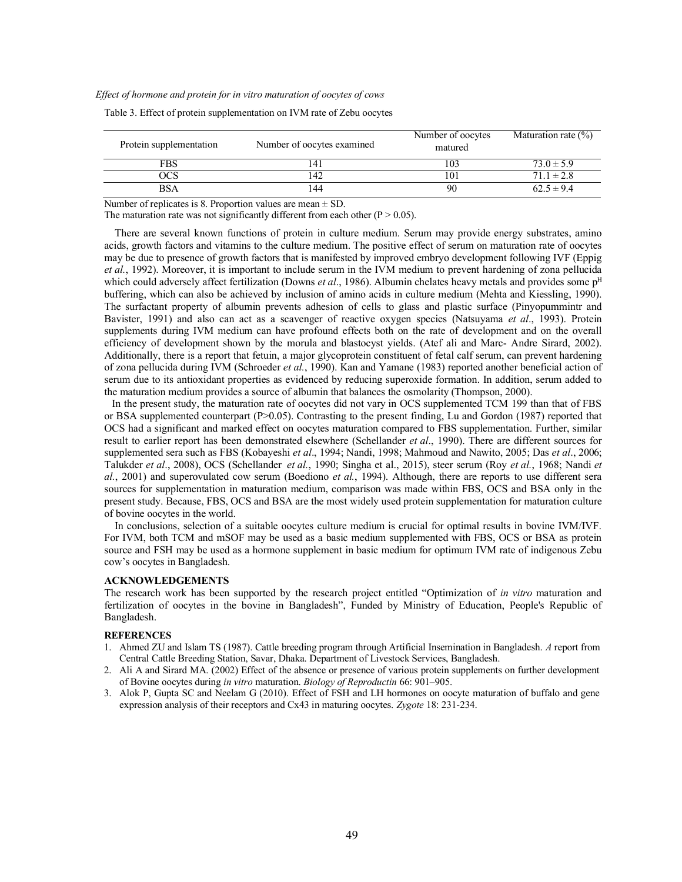*Effect of hormone and protein for in vitro maturation of oocytes of cows*

| Protein supplementation | Number of oocytes examined | Number of oocytes<br>matured | Maturation rate $(\% )$ |
|-------------------------|----------------------------|------------------------------|-------------------------|
| FBS                     |                            | 103                          | $73.0 \pm 5.9$          |
| ЭCS                     | 42                         | 101                          | $71.1 \pm 2.8$          |
| <b>BSA</b>              | 44                         | 90                           | $62.5 \pm 9.4$          |

Table 3. Effect of protein supplementation on IVM rate of Zebu oocytes

Number of replicates is 8. Proportion values are mean  $\pm$  SD.

The maturation rate was not significantly different from each other ( $P > 0.05$ ).

There are several known functions of protein in culture medium. Serum may provide energy substrates, amino acids, growth factors and vitamins to the culture medium. The positive effect of serum on maturation rate of oocytes may be due to presence of growth factors that is manifested by improved embryo development following IVF (Eppig *et al.*, 1992). Moreover, it is important to include serum in the IVM medium to prevent hardening of zona pellucida which could adversely affect fertilization (Downs *et al.*, 1986). Albumin chelates heavy metals and provides some p<sup>H</sup> buffering, which can also be achieved by inclusion of amino acids in culture medium (Mehta and Kiessling, 1990). The surfactant property of albumin prevents adhesion of cells to glass and plastic surface (Pinyopummintr and Bavister, 1991) and also can act as a scavenger of reactive oxygen species (Natsuyama *et al*., 1993). Protein supplements during IVM medium can have profound effects both on the rate of development and on the overall efficiency of development shown by the morula and blastocyst yields. (Atef ali and Marc- Andre Sirard, 2002). Additionally, there is a report that fetuin, a major glycoprotein constituent of fetal calf serum, can prevent hardening of zona pellucida during IVM (Schroeder *et al.*, 1990). Kan and Yamane (1983) reported another beneficial action of serum due to its antioxidant properties as evidenced by reducing superoxide formation. In addition, serum added to the maturation medium provides a source of albumin that balances the osmolarity (Thompson, 2000).

In the present study, the maturation rate of oocytes did not vary in OCS supplemented TCM 199 than that of FBS or BSA supplemented counterpart (P>0.05). Contrasting to the present finding, Lu and Gordon (1987) reported that OCS had a significant and marked effect on oocytes maturation compared to FBS supplementation. Further, similar result to earlier report has been demonstrated elsewhere (Schellander *et al*., 1990). There are different sources for supplemented sera such as FBS (Kobayeshi *et al*., 1994; Nandi, 1998; Mahmoud and Nawito, 2005; Das *et al*., 2006; Talukder *et al*., 2008), OCS (Schellander *et al.*, 1990; Singha et al., 2015), steer serum (Roy *et al.*, 1968; Nandi *et al.*, 2001) and superovulated cow serum (Boediono *et al.*, 1994). Although, there are reports to use different sera sources for supplementation in maturation medium, comparison was made within FBS, OCS and BSA only in the present study. Because, FBS, OCS and BSA are the most widely used protein supplementation for maturation culture of bovine oocytes in the world.

In conclusions, selection of a suitable oocytes culture medium is crucial for optimal results in bovine IVM/IVF. For IVM, both TCM and mSOF may be used as a basic medium supplemented with FBS, OCS or BSA as protein source and FSH may be used as a hormone supplement in basic medium for optimum IVM rate of indigenous Zebu cow's oocytes in Bangladesh.

# **ACKNOWLEDGEMENTS**

The research work has been supported by the research project entitled "Optimization of *in vitro* maturation and fertilization of oocytes in the bovine in Bangladesh", Funded by Ministry of Education, People's Republic of Bangladesh.

#### **REFERENCES**

- 1. Ahmed ZU and Islam TS (1987). Cattle breeding program through Artificial Insemination in Bangladesh. *A* report from Central Cattle Breeding Station, Savar, Dhaka. Department of Livestock Services, Bangladesh.
- 2. Ali A and Sirard MA. (2002) Effect of the absence or presence of various protein supplements on further development of Bovine oocytes during *in vitro* maturation. *Biology of Reproductin* 66: 901–905.
- 3. Alok P, Gupta SC and Neelam G (2010). Effect of FSH and LH hormones on oocyte maturation of buffalo and gene expression analysis of their receptors and Cx43 in maturing oocytes. *Zygote* 18: 231-234.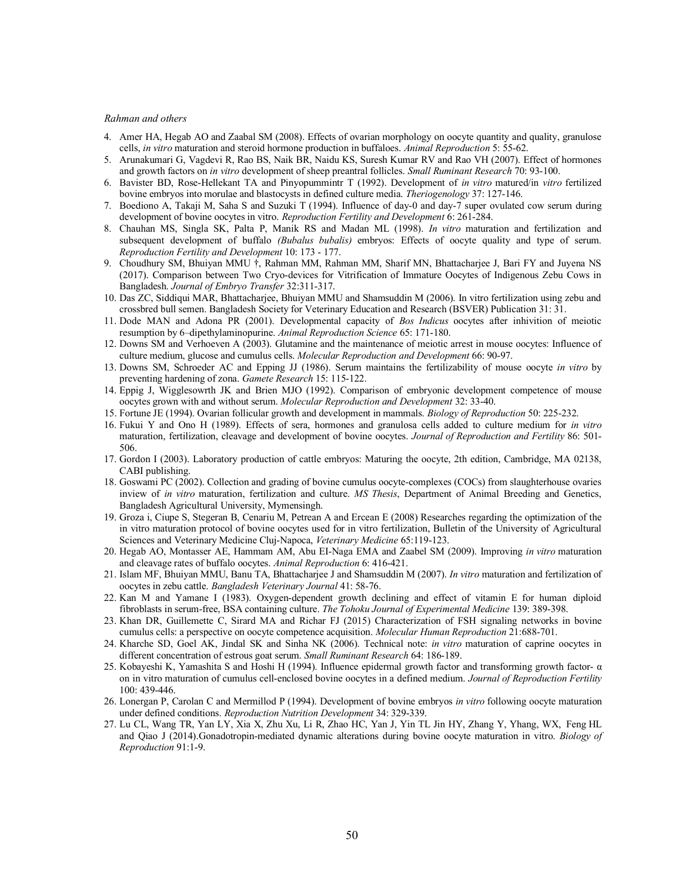#### *Rahman and others*

- 4. Amer HA, Hegab AO and Zaabal SM (2008). Effects of ovarian morphology on oocyte quantity and quality, granulose cells, *in vitro* maturation and steroid hormone production in buffaloes. *Animal Reproduction* 5: 55-62.
- 5. Arunakumari G, Vagdevi R, Rao BS, Naik BR, Naidu KS, Suresh Kumar RV and Rao VH (2007). Effect of hormones and growth factors on *in vitro* development of sheep preantral follicles. *Small Ruminant Research* 70: 93-100.
- 6. Bavister BD, Rose-Hellekant TA and Pinyopummintr T (1992). Development of *in vitro* matured/in *vitro* fertilized bovine embryos into morulae and blastocysts in defined culture media. *Theriogenology* 37: 127-146.
- 7. Boediono A, Takaji M, Saha S and Suzuki T (1994). Influence of day-0 and day-7 super ovulated cow serum during development of bovine oocytes in vitro. *Reproduction Fertility and Development* 6: 261-284.
- 8. Chauhan MS, Singla SK, Palta P, Manik RS and Madan ML (1998). *In vitro* maturation and fertilization and subsequent development of buffalo *(Bubalus bubalis)* embryos: Effects of oocyte quality and type of serum. *Reproduction Fertility and Development* 10: 173 - 177.
- 9. Choudhury SM, Bhuiyan MMU †, Rahman MM, Rahman MM, Sharif MN, Bhattacharjee J, Bari FY and Juyena NS (2017). Comparison between Two Cryo-devices for Vitrification of Immature Oocytes of Indigenous Zebu Cows in Bangladesh. *Journal of Embryo Transfer* 32:311-317.
- 10. Das ZC, Siddiqui MAR, Bhattacharjee, Bhuiyan MMU and Shamsuddin M (2006). In vitro fertilization using zebu and crossbred bull semen. Bangladesh Society for Veterinary Education and Research (BSVER) Publication 31: 31.
- 11. Dode MAN and Adona PR (2001). Developmental capacity of *Bos Indicus* oocytes after inhivition of meiotic resumption by 6–dipethylaminopurine. *Animal Reproduction Science* 65: 171-180.
- 12. Downs SM and Verhoeven A (2003). Glutamine and the maintenance of meiotic arrest in mouse oocytes: Influence of culture medium, glucose and cumulus cells. *Molecular Reproduction and Development* 66: 90-97.
- 13. Downs SM, Schroeder AC and Epping JJ (1986). Serum maintains the fertilizability of mouse oocyte *in vitro* by preventing hardening of zona. *Gamete Research* 15: 115-122.
- 14. Eppig J, Wigglesowrth JK and Brien MJO (1992). Comparison of embryonic development competence of mouse oocytes grown with and without serum. *Molecular Reproduction and Development* 32: 33-40.
- 15. Fortune JE (1994). Ovarian follicular growth and development in mammals. *Biology of Reproduction* 50: 225-232.
- 16. Fukui Y and Ono H (1989). Effects of sera, hormones and granulosa cells added to culture medium for *in vitro* maturation, fertilization, cleavage and development of bovine oocytes. *Journal of Reproduction and Fertility* 86: 501- 506.
- 17. Gordon I (2003). Laboratory production of cattle embryos: Maturing the oocyte, 2th edition, Cambridge, MA 02138, CABI publishing.
- 18. Goswami PC (2002). Collection and grading of bovine cumulus oocyte-complexes (COCs) from slaughterhouse ovaries inview of *in vitro* maturation, fertilization and culture. *MS Thesis*, Department of Animal Breeding and Genetics, Bangladesh Agricultural University, Mymensingh.
- 19. Groza i, Ciupe S, Stegeran B, Cenariu M, Petrean A and Ercean E (2008) Researches regarding the optimization of the in vitro maturation protocol of bovine oocytes used for in vitro fertilization, Bulletin of the University of Agricultural Sciences and Veterinary Medicine Cluj-Napoca, *Veterinary Medicine* 65:119-123.
- 20. Hegab AO, Montasser AE, Hammam AM, Abu EI-Naga EMA and Zaabel SM (2009). Improving *in vitro* maturation and cleavage rates of buffalo oocytes. *Animal Reproduction* 6: 416-421.
- 21. Islam MF, Bhuiyan MMU, Banu TA, Bhattacharjee J and Shamsuddin M (2007). *In vitro* maturation and fertilization of oocytes in zebu cattle. *Bangladesh Veterinary Journal* 41: 58-76.
- 22. Kan M and Yamane I (1983). Oxygen-dependent growth declining and effect of vitamin E for human diploid fibroblasts in serum-free, BSA containing culture. *The Tohoku Journal of Experimental Medicine* 139: 389-398.
- 23. Khan DR, Guillemette C, Sirard MA and Richar FJ (2015) Characterization of FSH signaling networks in bovine cumulus cells: a perspective on oocyte competence acquisition. *Molecular Human Reproduction* 21:688-701.
- 24. Kharche SD, Goel AK, Jindal SK and Sinha NK (2006). Technical note: *in vitro* maturation of caprine oocytes in different concentration of estrous goat serum. *Small Ruminant Research* 64: 186-189.
- 25. Kobayeshi K, Yamashita S and Hoshi H (1994). Influence epidermal growth factor and transforming growth factor- α on in vitro maturation of cumulus cell-enclosed bovine oocytes in a defined medium. *Journal of Reproduction Fertility* 100: 439-446.
- 26. Lonergan P, Carolan C and Mermillod P (1994). Development of bovine embryos *in vitro* following oocyte maturation under defined conditions. *Reproduction Nutrition Development* 34: 329-339.
- 27. Lu CL, Wang TR, Yan LY, Xia X, Zhu Xu, Li R, Zhao HC, Yan J, Yin TL Jin HY, Zhang Y, Yhang, WX, Feng HL and Qiao J (2014).Gonadotropin-mediated dynamic alterations during bovine oocyte maturation in vitro. *Biology of Reproduction* 91:1-9.